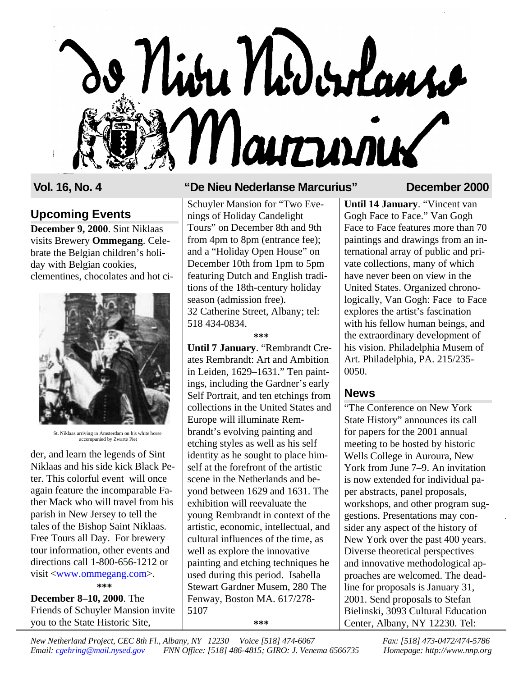# o Niva Nodorlans Marrinier

# **Upcoming Events**

**December 9, 2000**. Sint Niklaas visits Brewery **Ommegang**. Celebrate the Belgian children's holiday with Belgian cookies, clementines, chocolates and hot ci-



St. Niklaas arriving in Amsterdam on his white horse accompanied by Zwarte Piet

der, and learn the legends of Sint Niklaas and his side kick Black Peter. This colorful event will once again feature the incomparable Father Mack who will travel from his parish in New Jersey to tell the tales of the Bishop Saint Niklaas. Free Tours all Day. For brewery tour information, other events and directions call 1-800-656-1212 or visit <www.ommegang.com>.

**\*\*\***

**December 8–10, 2000**. The Friends of Schuyler Mansion invite you to the State Historic Site,

#### **Vol. 16, No. 4 "De Nieu Nederlanse Marcurius" December 2000**

Schuyler Mansion for "Two Evenings of Holiday Candelight Tours" on December 8th and 9th from 4pm to 8pm (entrance fee); and a "Holiday Open House" on December 10th from 1pm to 5pm featuring Dutch and English traditions of the 18th-century holiday season (admission free). 32 Catherine Street, Albany; tel: 518 434-0834.

#### **\*\*\***

**Until 7 January**. "Rembrandt Creates Rembrandt: Art and Ambition in Leiden, 1629–1631." Ten paintings, including the Gardner's early Self Portrait, and ten etchings from collections in the United States and Europe will illuminate Rembrandt's evolving painting and etching styles as well as his self identity as he sought to place himself at the forefront of the artistic scene in the Netherlands and beyond between 1629 and 1631. The exhibition will reevaluate the young Rembrandt in context of the artistic, economic, intellectual, and cultural influences of the time, as well as explore the innovative painting and etching techniques he used during this period. Isabella Stewart Gardner Musem, 280 The Fenway, Boston MA. 617/278- 5107

**\*\*\***

**Until 14 January**. "Vincent van Gogh Face to Face." Van Gogh Face to Face features more than 70 paintings and drawings from an international array of public and private collections, many of which have never been on view in the United States. Organized chronologically, Van Gogh: Face to Face explores the artist's fascination with his fellow human beings, and the extraordinary development of his vision. Philadelphia Musem of Art. Philadelphia, PA. 215/235- 0050.

#### **News**

"The Conference on New York State History" announces its call for papers for the 2001 annual meeting to be hosted by historic Wells College in Auroura, New York from June 7–9. An invitation is now extended for individual paper abstracts, panel proposals, workshops, and other program suggestions. Presentations may consider any aspect of the history of New York over the past 400 years. Diverse theoretical perspectives and innovative methodological approaches are welcomed. The deadline for proposals is January 31, 2001. Send proposals to Stefan Bielinski, 3093 Cultural Education Center, Albany, NY 12230. Tel: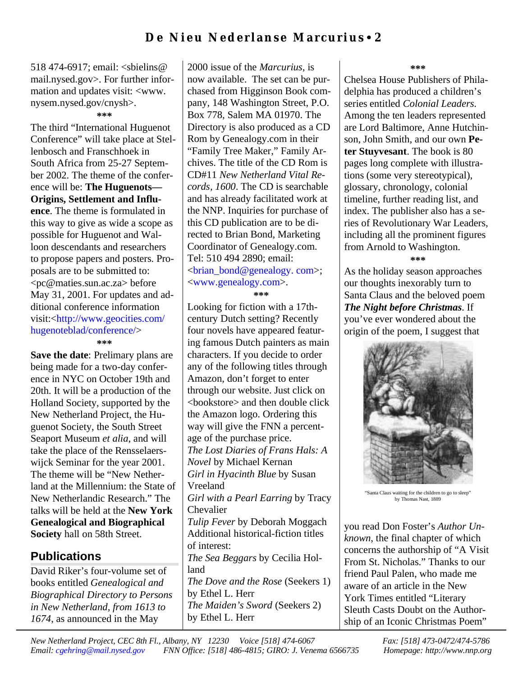518 474-6917; email: <sbielins@ mail.nysed.gov>. For further information and updates visit: <www. nysem.nysed.gov/cnysh>.

#### **\*\*\***

The third "International Huguenot Conference" will take place at Stellenbosch and Franschhoek in South Africa from 25-27 September 2002. The theme of the conference will be: **The Huguenots— Origins, Settlement and Influence**. The theme is formulated in this way to give as wide a scope as possible for Huguenot and Walloon descendants and researchers to propose papers and posters. Proposals are to be submitted to: <pc@maties.sun.ac.za> before May 31, 2001. For updates and additional conference information visit:<http://www.geocities.com/ hugenoteblad/conference/> **\*\*\***

**Save the date**: Prelimary plans are being made for a two-day conference in NYC on October 19th and 20th. It will be a production of the Holland Society, supported by the New Netherland Project, the Huguenot Society, the South Street Seaport Museum *et alia*, and will take the place of the Rensselaerswijck Seminar for the year 2001. The theme will be "New Netherland at the Millennium: the State of New Netherlandic Research." The talks will be held at the **New York Genealogical and Biographical Society** hall on 58th Street.

#### **Publications**

David Riker's four-volume set of books entitled *Genealogical and Biographical Directory to Persons in New Netherland, from 1613 to 1674*, as announced in the May

2000 issue of the *Marcurius*, is now available. The set can be purchased from Higginson Book company, 148 Washington Street, P.O. Box 778, Salem MA 01970. The Directory is also produced as a CD Rom by Genealogy.com in their "Family Tree Maker," Family Archives. The title of the CD Rom is CD#11 *New Netherland Vital Records, 1600*. The CD is searchable and has already facilitated work at the NNP. Inquiries for purchase of this CD publication are to be directed to Brian Bond, Marketing Coordinator of Genealogy.com. Tel: 510 494 2890; email: <brian\_bond@genealogy. com>; <www.genealogy.com>. **\*\*\***

Looking for fiction with a 17thcentury Dutch setting? Recently four novels have appeared featuring famous Dutch painters as main characters. If you decide to order any of the following titles through Amazon, don't forget to enter through our website. Just click on <bookstore> and then double click the Amazon logo. Ordering this way will give the FNN a percentage of the purchase price. *The Lost Diaries of Frans Hals: A Novel* by Michael Kernan *Girl in Hyacinth Blue* by Susan Vreeland *Girl with a Pearl Earring* by Tracy Chevalier *Tulip Fever* by Deborah Moggach Additional historical-fiction titles of interest: *The Sea Beggars* by Cecilia Holland *The Dove and the Rose* (Seekers 1) by Ethel L. Herr *The Maiden's Sword* (Seekers 2) by Ethel L. Herr

**\*\*\***

Chelsea House Publishers of Philadelphia has produced a children's series entitled *Colonial Leaders*. Among the ten leaders represented are Lord Baltimore, Anne Hutchinson, John Smith, and our own **Peter Stuyvesant**. The book is 80 pages long complete with illustrations (some very stereotypical), glossary, chronology, colonial timeline, further reading list, and index. The publisher also has a series of Revolutionary War Leaders, including all the prominent figures from Arnold to Washington.

**\*\*\***

As the holiday season approaches our thoughts inexorably turn to Santa Claus and the beloved poem *The Night before Christmas*. If you've ever wondered about the origin of the poem, I suggest that



"Santa Claus waiting for the children to go to sleep" by Thomas Nast, 1889

you read Don Foster's *Author Unknown*, the final chapter of which concerns the authorship of "A Visit From St. Nicholas." Thanks to our friend Paul Palen, who made me aware of an article in the New York Times entitled "Literary Sleuth Casts Doubt on the Authorship of an Iconic Christmas Poem"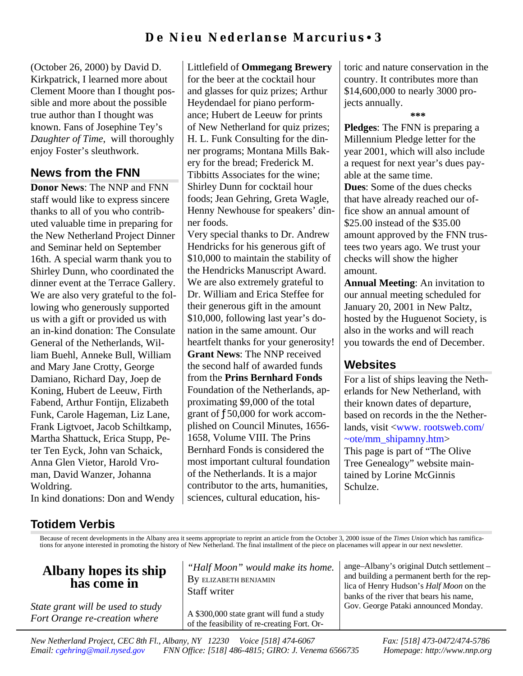## **De Nieu Nederlanse Marcurius** • **3**

Littlefield of **Ommegang Brewery**

(October 26, 2000) by David D. Kirkpatrick, I learned more about Clement Moore than I thought possible and more about the possible true author than I thought was known. Fans of Josephine Tey's *Daughter of Time*, will thoroughly enjoy Foster's sleuthwork.

#### **News from the FNN**

**Donor News**: The NNP and FNN staff would like to express sincere thanks to all of you who contributed valuable time in preparing for the New Netherland Project Dinner and Seminar held on September 16th. A special warm thank you to Shirley Dunn, who coordinated the dinner event at the Terrace Gallery. We are also very grateful to the following who generously supported us with a gift or provided us with an in-kind donation: The Consulate General of the Netherlands, William Buehl, Anneke Bull, William and Mary Jane Crotty, George Damiano, Richard Day, Joep de Koning, Hubert de Leeuw, Firth Fabend, Arthur Fontijn, Elizabeth Funk, Carole Hageman, Liz Lane, Frank Ligtvoet, Jacob Schiltkamp, Martha Shattuck, Erica Stupp, Peter Ten Eyck, John van Schaick, Anna Glen Vietor, Harold Vroman, David Wanzer, Johanna Woldring.

for the beer at the cocktail hour and glasses for quiz prizes; Arthur Heydendael for piano performance; Hubert de Leeuw for prints of New Netherland for quiz prizes; H. L. Funk Consulting for the dinner programs; Montana Mills Bakery for the bread; Frederick M. Tibbitts Associates for the wine; Shirley Dunn for cocktail hour foods; Jean Gehring, Greta Wagle, Henny Newhouse for speakers' dinner foods. Very special thanks to Dr. Andrew Hendricks for his generous gift of \$10,000 to maintain the stability of the Hendricks Manuscript Award. We are also extremely grateful to Dr. William and Erica Steffee for their generous gift in the amount \$10,000, following last year's donation in the same amount. Our heartfelt thanks for your generosity! **Grant News**: The NNP received the second half of awarded funds from the **Prins Bernhard Fonds** Foundation of the Netherlands, approximating \$9,000 of the total grant of ƒ50,000 for work accomplished on Council Minutes, 1656- 1658, Volume VIII. The Prins Bernhard Fonds is considered the most important cultural foundation of the Netherlands. It is a major contributor to the arts, humanities, sciences, cultural education, historic and nature conservation in the country. It contributes more than \$14,600,000 to nearly 3000 projects annually.

**\*\*\***

**Pledges**: The FNN is preparing a Millennium Pledge letter for the year 2001, which will also include a request for next year's dues payable at the same time.

**Dues**: Some of the dues checks that have already reached our office show an annual amount of \$25.00 instead of the \$35.00 amount approved by the FNN trustees two years ago. We trust your checks will show the higher amount.

**Annual Meeting**: An invitation to our annual meeting scheduled for January 20, 2001 in New Paltz, hosted by the Huguenot Society, is also in the works and will reach you towards the end of December.

#### **Websites**

For a list of ships leaving the Netherlands for New Netherland, with their known dates of departure, based on records in the the Netherlands, visit <www. rootsweb.com/  $\sim$ ote/mm\_shipamny.htm> This page is part of "The Olive Tree Genealogy" website maintained by Lorine McGinnis Schulze.

In kind donations: Don and Wendy

#### **Totidem Verbis**

Because of recent developments in the Albany area it seems appropriate to reprint an article from the October 3, 2000 issue of the *Times Union* which has ramifications for anyone interested in promoting the history of New Netherland. The final installment of the piece on placenames will appear in our next newsletter.

#### **Albany hopes its ship has come in**

*State grant will be used to study Fort Orange re-creation where*

*"Half Moon" would make its home.* By ELIZABETH BENJAMIN Staff writer

A \$300,000 state grant will fund a study of the feasibility of re-creating Fort. Orange–Albany's original Dutch settlement – and building a permanent berth for the replica of Henry Hudson's *Half Moon* on the banks of the river that bears his name, Gov. George Pataki announced Monday.